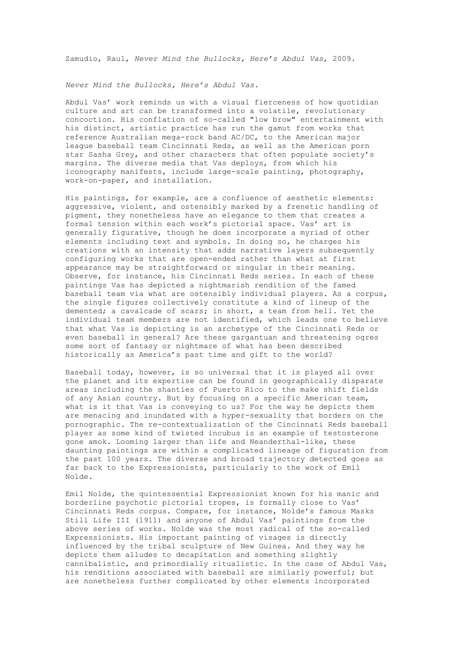Zamudio, Raul, *Never Mind the Bullocks, Here's Abdul Vas*, 2009.

*Never Mind the Bullocks, Here's Abdul Vas*.

Abdul Vas' work reminds us with a visual fierceness of how quotidian culture and art can be transformed into a volatile, revolutionary concoction. His conflation of so-called "low brow" entertainment with his distinct, artistic practice has run the gamut from works that reference Australian mega-rock band AC/DC, to the American major league baseball team Cincinnati Reds, as well as the American porn star Sasha Grey, and other characters that often populate society's margins. The diverse media that Vas deploys, from which his iconography manifests, include large-scale painting, photography, work-on-paper, and installation.

His paintings, for example, are a confluence of aesthetic elements: aggressive, violent, and ostensibly marked by a frenetic handling of pigment, they nonetheless have an elegance to them that creates a formal tension within each work's pictorial space. Vas' art is generally figurative, though he does incorporate a myriad of other elements including text and symbols. In doing so, he charges his creations with an intensity that adds narrative layers subsequently configuring works that are open-ended rather than what at first appearance may be straightforward or singular in their meaning. Observe, for instance, his Cincinnati Reds series. In each of these paintings Vas has depicted a nightmarish rendition of the famed baseball team via what are ostensibly individual players. As a corpus, the single figures collectively constitute a kind of lineup of the demented; a cavalcade of scars; in short, a team from hell. Yet the individual team members are not identified, which leads one to believe that what Vas is depicting is an archetype of the Cincinnati Reds or even baseball in general? Are these gargantuan and threatening ogres some sort of fantasy or nightmare of what has been described historically as America's past time and gift to the world?

Baseball today, however, is so universal that it is played all over the planet and its expertise can be found in geographically disparate areas including the shanties of Puerto Rico to the make shift fields of any Asian country. But by focusing on a specific American team, what is it that Vas is conveying to us? For the way he depicts them are menacing and inundated with a hyper-sexuality that borders on the pornographic. The re-contextualization of the Cincinnati Reds baseball player as some kind of twisted incubus is an example of testosterone gone amok. Looming larger than life and Neanderthal-like, these daunting paintings are within a complicated lineage of figuration from the past 100 years. The diverse and broad trajectory detected goes as far back to the Expressionists, particularly to the work of Emil Nolde.

Emil Nolde, the quintessential Expressionist known for his manic and borderline psychotic pictorial tropes, is formally close to Vas' Cincinnati Reds corpus. Compare, for instance, Nolde's famous Masks Still Life III (1911) and anyone of Abdul Vas' paintings from the above series of works. Nolde was the most radical of the so-called Expressionists. His important painting of visages is directly influenced by the tribal sculpture of New Guinea. And they way he depicts them alludes to decapitation and something slightly cannibalistic, and primordially ritualistic. In the case of Abdul Vas, his renditions associated with baseball are similarly powerful; but are nonetheless further complicated by other elements incorporated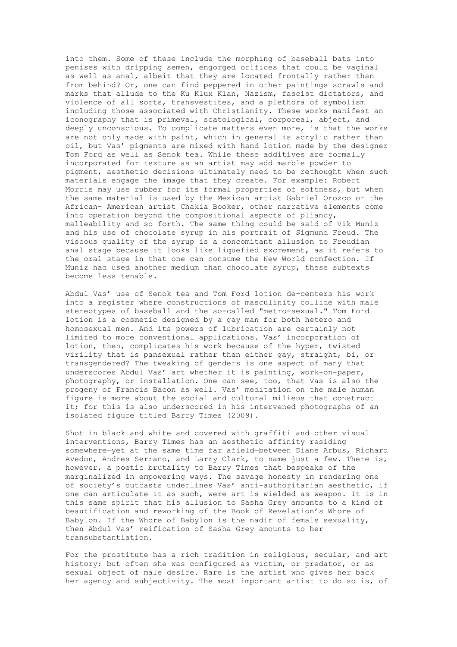into them. Some of these include the morphing of baseball bats into penises with dripping semen, engorged orifices that could be vaginal as well as anal, albeit that they are located frontally rather than from behind? Or, one can find peppered in other paintings scrawls and marks that allude to the Ku Klux Klan, Nazism, fascist dictators, and violence of all sorts, transvestites, and a plethora of symbolism including those associated with Christianity. These works manifest an iconography that is primeval, scatological, corporeal, abject, and deeply unconscious. To complicate matters even more, is that the works are not only made with paint, which in general is acrylic rather than oil, but Vas' pigments are mixed with hand lotion made by the designer Tom Ford as well as Senok tea. While these additives are formally incorporated for texture as an artist may add marble powder to pigment, aesthetic decisions ultimately need to be rethought when such materials engage the image that they create. For example: Robert Morris may use rubber for its formal properties of softness, but when the same material is used by the Mexican artist Gabriel Orozco or the African- American artist Chakia Booker, other narrative elements come into operation beyond the compositional aspects of pliancy, malleability and so forth. The same thing could be said of Vik Muniz and his use of chocolate syrup in his portrait of Sigmund Freud. The viscous quality of the syrup is a concomitant allusion to Freudian anal stage because it looks like liquefied excrement, as it refers to the oral stage in that one can consume the New World confection. If Muniz had used another medium than chocolate syrup, these subtexts become less tenable.

Abdul Vas' use of Senok tea and Tom Ford lotion de-centers his work into a register where constructions of masculinity collide with male stereotypes of baseball and the so-called "metro-sexual." Tom Ford lotion is a cosmetic designed by a gay man for both hetero and homosexual men. And its powers of lubrication are certainly not limited to more conventional applications. Vas' incorporation of lotion, then, complicates his work because of the hyper, twisted virility that is pansexual rather than either gay, straight, bi, or transgendered? The tweaking of genders is one aspect of many that underscores Abdul Vas' art whether it is painting, work-on-paper, photography, or installation. One can see, too, that Vas is also the progeny of Francis Bacon as well. Vas' meditation on the male human figure is more about the social and cultural milieus that construct it; for this is also underscored in his intervened photographs of an isolated figure titled Barry Times (2009).

Shot in black and white and covered with graffiti and other visual interventions, Barry Times has an aesthetic affinity residing somewhere—yet at the same time far afield—between Diane Arbus, Richard Avedon, Andres Serrano, and Larry Clark, to name just a few. There is, however, a poetic brutality to Barry Times that bespeaks of the marginalized in empowering ways. The savage honesty in rendering one of society's outcasts underlines Vas' anti-authoritarian aesthetic, if one can articulate it as such, were art is wielded as weapon. It is in this same spirit that his allusion to Sasha Grey amounts to a kind of beautification and reworking of the Book of Revelation's Whore of Babylon. If the Whore of Babylon is the nadir of female sexuality, then Abdul Vas' reification of Sasha Grey amounts to her transubstantiation.

For the prostitute has a rich tradition in religious, secular, and art history; but often she was configured as victim, or predator, or as sexual object of male desire. Rare is the artist who gives her back her agency and subjectivity. The most important artist to do so is, of